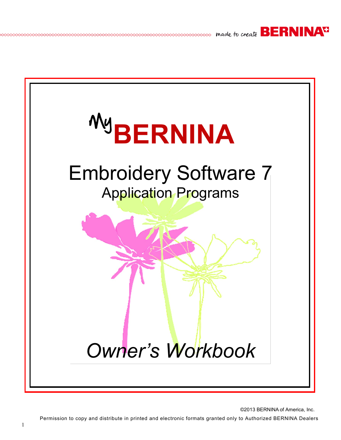



©2013 BERNINA of America, Inc. Permission to copy and distribute in printed and electronic formats granted only to Authorized BERNINA Dealers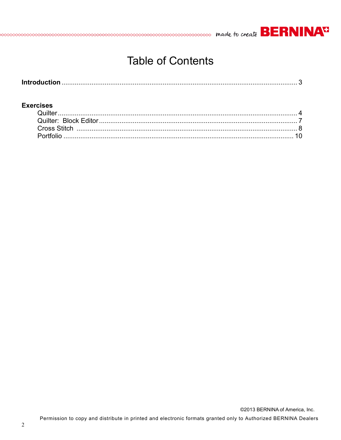

## **Table of Contents**

#### **Exercises**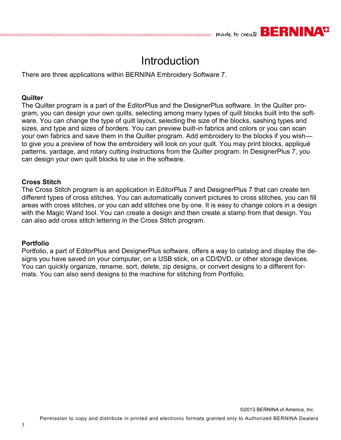## **Introduction**

**SOCOCOCOCO made to create BERNINAT** 

There are three applications within BERNINA Embroidery Software 7.

#### **Quilter**

The Quilter program is a part of the EditorPlus and the DesignerPlus software. In the Quilter program, you can design your own quilts, selecting among many types of quilt blocks built into the software. You can change the type of quilt layout, selecting the size of the blocks, sashing types and sizes, and type and sizes of borders. You can preview built-in fabrics and colors or you can scan your own fabrics and save them in the Quilter program. Add embroidery to the blocks if you wish to give you a preview of how the embroidery will look on your quilt. You may print blocks, appliqué patterns, yardage, and rotary cutting instructions from the Quilter program. In DesignerPlus 7, you can design your own quilt blocks to use in the software.

#### **Cross Stitch**

The Cross Stitch program is an application in EditorPlus 7 and DesignerPlus 7 that can create ten different types of cross stitches. You can automatically convert pictures to cross stitches, you can fill areas with cross stitches, or you can add stitches one by one. It is easy to change colors in a design with the Magic Wand tool. You can create a design and then create a stamp from that design. You can also add cross stitch lettering in the Cross Stitch program.

#### **Portfolio**

Portfolio, a part of EditorPlus and DesignerPlus software, offers a way to catalog and display the designs you have saved on your computer, on a USB stick, on a CD/DVD, or other storage devices. You can quickly organize, rename, sort, delete, zip designs, or convert designs to a different formats. You can also send designs to the machine for stitching from Portfolio.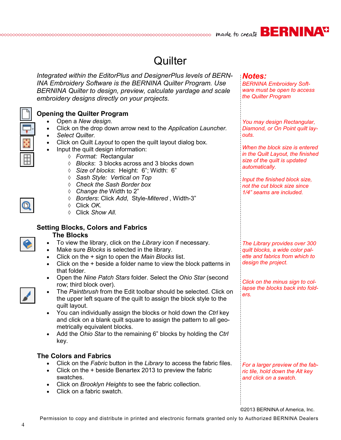*BERNINA Embroidery Software must be open to access* 

*You may design Rectangular, Diamond, or On Point quilt lay-*

*When the block size is entered in the Quilt Layout, the finished size of the quilt is updated* 

*Input the finished block size, not the cut block size since 1/4" seams are included.*

*The Library provides over 300 quilt blocks, a wide color palette and fabrics from which to* 

*Click on the minus sign to collapse the blocks back into fold-*

*design the project.* 

*ers.*

*the Quilter Program*

*Notes:*

*outs.*

*automatically.* 

## **Quilter**

*Integrated within the EditorPlus and DesignerPlus levels of BERN-INA Embroidery Software is the BERNINA Quilter Program. Use BERNINA Quilter to design, preview, calculate yardage and scale embroidery designs directly on your projects.*



### **Opening the Quilter Program**

- Open a *New design.*
- Click on the drop down arrow next to the *Application Launcher.*
- *Select Quilter.*
- Click on Quilt *Layout* to open the quilt layout dialog box.
- Input the quilt design information:
	- *Format:* Rectangular
	- *Blocks*: 3 blocks across and 3 blocks down
	- *Size of blocks*: Height: 6"; Width: 6"
	- *Sash Style: Vertical on Top*
	- *Check the Sash Border box*
	- *Change the* Width to 2"
	- *Borders*: Click *Add*, Style-*Mitered* , Width-3"
	- Click *OK.*
	- Click *Show All.*

#### **Setting Blocks, Colors and Fabrics**

#### **The Blocks**

- To view the library, click on the *Library* icon if necessary.
- Make sure *Blocks* is selected in the library.
- Click on the + sign to open the *Main Blocks* list.
- Click on the + beside a folder name to view the block patterns in that folder.
- Open the *Nine Patch Stars* folder. Select the *Ohio Star* (second row; third block over).



- The *Paintbrush* from the Edit toolbar should be selected. Click on the upper left square of the quilt to assign the block style to the quilt layout.
- You can individually assign the blocks or hold down the *Ctrl* key and click on a blank quilt square to assign the pattern to all geometrically equivalent blocks.
- Add the *Ohio Star* to the remaining 6" blocks by holding the *Ctrl*  key.

#### **The Colors and Fabrics**

- Click on the *Fabric* button in the *Library* to access the fabric files.
- Click on the + beside Benartex 2013 to preview the fabric swatches.
- Click on *Brooklyn Heights* to see the fabric collection.
- Click on a fabric swatch.

©2013 BERNINA of America, Inc.

*For a larger preview of the fabric tile, hold down the Alt key and click on a swatch.*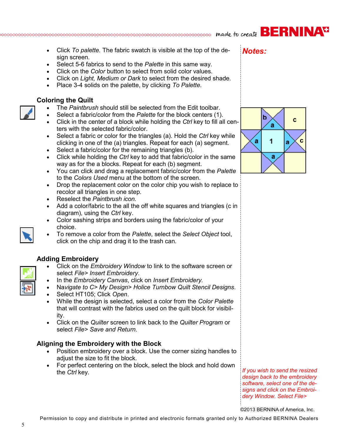- Click *To palette.* The fabric swatch is visible at the top of the design screen.
- Select 5-6 fabrics to send to the *Palette* in this same way.
- Click on the *Color* button to select from solid color values.
- Click on *Light, Medium or Dark* to select from the desired shade.
- Place 3-4 solids on the palette, by clicking *To Palette.*

### **Coloring the Quilt**

- The *Paintbrush* should still be selected from the Edit toolbar.
- Select a fabric/color from the *Palette* for the block centers (1).
- Click in the center of a block while holding the *Ctrl* key to fill all centers with the selected fabric/color.
- Select a fabric or color for the triangles (a). Hold the *Ctrl* key while clicking in one of the (a) triangles. Repeat for each (a) segment.
- Select a fabric/color for the remaining triangles (b).
- Click while holding the *Ctrl* key to add that fabric/color in the same way as for the a blocks. Repeat for each (b) segment.
- You can click and drag a replacement fabric/color from the *Palette* to the *Colors Used* menu at the bottom of the screen.
- Drop the replacement color on the color chip you wish to replace to recolor all triangles in one step.
- Reselect the *Paintbrush icon.*
- Add a color/fabric to the all the off white squares and triangles (c in diagram), using the *Ctrl* key.
- Color sashing strips and borders using the fabric/color of your choice.
- To remove a color from the *Palette*, select the *Select Object* tool, click on the chip and drag it to the trash can.

### **Adding Embroidery**

- Click on the *Embroidery Window* to link to the software screen or select *File> Insert Embroidery*.
- In the *Embroidery Canvas*, click on *Insert Embroidery.*
- Na*vigate to C> My Design> Holice Turnbow Quilt Stencil Designs*.
- Select HT105; Click *Open*.
- While the design is selected, select a color from the *Color Palette*  that will contrast with the fabrics used on the quilt block for visibility.
- Click on the *Quilter* screen to link back to the *Quilter Program* or select *File> Save and Return*.

### **Aligning the Embroidery with the Block**

- Position embroidery over a block. Use the corner sizing handles to adjust the size to fit the block.
- For perfect centering on the block, select the block and hold down the *Ctrl* key.

*If you wish to send the resized design back to the embroidery software, select one of the designs and click on the Embroidery Window. Select File>* 

©2013 BERNINA of America, Inc.

Permission to copy and distribute in printed and electronic formats granted only to Authorized BERNINA Dealers

*Notes:*







#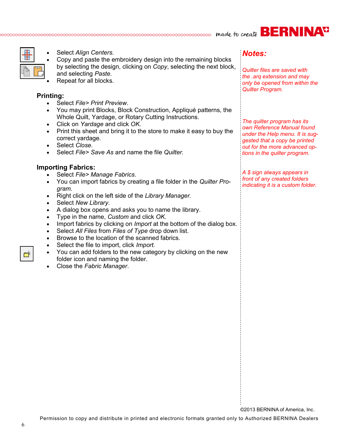# occocococococo made to create **BERNINAT**



- Select *Align Centers.*
- Copy and paste the embroidery design into the remaining blocks by selecting the design, clicking on *Copy*, selecting the next block, and selecting *Paste.*
- Repeat for all blocks.

#### **Printing:**

- Select *File> Print Preview*.
- You may print Blocks, Block Construction, Appliqué patterns, the Whole Quilt, Yardage, or Rotary Cutting Instructions.
- Click on *Yardage* and click *OK.*
- Print this sheet and bring it to the store to make it easy to buy the correct yardage.
- Select *Close.*
- Select *File> Save As* and name the file *Quilter.*

#### **Importing Fabrics:**

- Select *File> Manage Fabrics*.
- You can import fabrics by creating a file folder in the *Quilter Program.*
- Right click on the left side of the *Library Manager.*
- Select *New Library*.
- A dialog box opens and asks you to name the library.
- Type in the name, *Custom* and click *OK.*
- Import fabrics by clicking on *Import* at the bottom of the dialog box.
- Select *All Files* from *Files of Type* drop down list.
- Browse to the location of the scanned fabrics.
- Select the file to import, click *Import.*
- You can add folders to the new category by clicking on the new folder icon and naming the folder.
- Close the *Fabric Manager*.

## *Notes:*

*Quilter files are saved with the .arq extension and may only be opened from within the Quilter Program.*

*The quilter program has its own Reference Manual found under the Help menu. It is suggested that a copy be printed out for the more advanced options in the quilter program.* 

*A \$ sign always appears in front of any created folders indicating it is a custom folder.*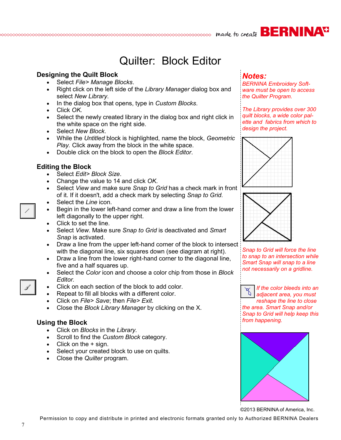## Quilter: Block Editor

#### **Designing the Quilt Block**

- Select *File> Manage Blocks*.
- Right click on the left side of the *Library Manager* dialog box and select *New Library*.
- In the dialog box that opens, type in *Custom Blocks*.
- Click *OK.*
- Select the newly created library in the dialog box and right click in the white space on the right side.
- Select *New Block*.
- While the *Untitled* block is highlighted, name the block, *Geometric Play.* Click away from the block in the white space.
- Double click on the block to open the *Block Editor*.

#### **Editing the Block**

- Select *Edit> Block Size*.
- Change the value to 14 and click *OK*.
- Select *View* and make sure *Snap to Grid* has a check mark in front of it. If it doesn't, add a check mark by selecting *Snap to Grid.*
- Select the *Line* icon.
- Begin in the lower left-hand corner and draw a line from the lower left diagonally to the upper right.
- Click to set the line.
- Select *View*. Make sure *Snap to Grid* is deactivated and *Smart Snap* is activated.
- Draw a line from the upper left-hand corner of the block to intersect with the diagonal line, six squares down (see diagram at right).
- Draw a line from the lower right-hand corner to the diagonal line, five and a half squares up.
- Select the *Color* icon and choose a color chip from those in *Block Editor.*
- Click on each section of the block to add color.
- Repeat to fill all blocks with a different color.
- Click on *File> Save*; then *File> Exit*.
- Close the *Block Library Manager* by clicking on the X.

#### **Using the Block**

- Click on *Blocks* in the *Library.*
- Scroll to find the *Custom Block* category.
- $\bullet$  Click on the  $+$  sign.
- Select your created block to use on quilts.
- Close the *Quilter* program.

### *Notes:*

*BERNINA Embroidery Software must be open to access the Quilter Program.*

*The Library provides over 300 quilt blocks, a wide color palette and fabrics from which to design the project.* 





*Snap to Grid will force the line to snap to an intersection while Smart Snap will snap to a line not necessarily on a gridline.*

*If the color bleeds into an adjacent area, you must reshape the line to close* 

*the area. Smart Snap and/or Snap to Grid will help keep this from happening.* 



©2013 BERNINA of America, Inc.

Permission to copy and distribute in printed and electronic formats granted only to Authorized BERNINA Dealers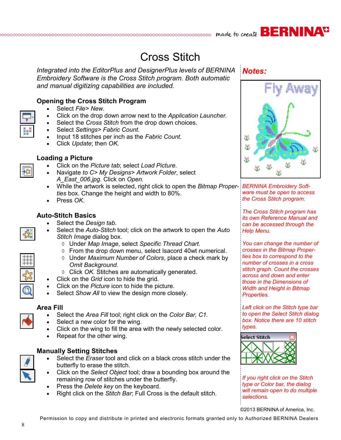# Cross Stitch

*Integrated into the EditorPlus and DesignerPlus levels of BERNINA Embroidery Software is the Cross Stitch program. Both automatic and manual digitizing capabilities are included.*

#### **Opening the Cross Stitch Program**

- Select *File> New.*
- Click on the drop down arrow next to the *Application Launcher.*
- Select the *Cross Stitch* from the drop down choices.
- Select *Settings> Fabric Count.*
- Input 18 stitches per inch as the *Fabric Count*.
- Click *Update*; then *OK.*

#### **Loading a Picture**

- Click on the *Picture tab*; select *Load Picture*.
- Navigate *to C> My Designs> Artwork Folder*, select *A\_East\_006.jpg*. Click on *Open.*
- While the artwork is selected, right click to open the *Bitmap Proper-BERNINA Embroidery Softties* box. Change the height and width to 80%.
- Press *OK*.

#### **Auto-Stitch Basics**

- Select the *Design tab*.
- Select the *Auto-Stitch* tool; click on the artwork to open the *Auto Stitch Image* dialog box.
	- Under *Map Image*, select *Specific Thread Chart*.
	- $\Diamond$  From the drop down menu, select Isacord 40wt numerical.
	- Under *Maximum Number of Colors*, place a check mark by *Omit Background.*
	- Click *OK.* Stitches are automatically generated.
- Click on the *Grid* icon to hide the grid.
- Click on the *Picture* icon to hide the picture.
- Select *Show All* to view the design more closely.

#### **Area Fill**

- Select the *Area Fill* tool; right click on the *Color Bar, C1.*
- Select a new color for the wing.
- Click on the wing to fill the area with the newly selected color.
- Repeat for the other wing.

#### **Manually Setting Stitches**

- Select the *Eraser* tool and click on a black cross stitch under the butterfly to erase the stitch.
- Click on the *Select Object* tool; draw a bounding box around the remaining row of stitches under the butterfly.
- Press the *Delete key* on the keyboard.
- Right click on the *Stitch Bar*; Full Cross is the default stitch.





*ware must be open to access the Cross Stitch program.* 

*The Cross Stitch program has its own Reference Manual and can be accessed through the Help Menu.*

*You can change the number of crosses in the Bitmap Properties box to correspond to the number of crosses in a cross stitch graph. Count the crosses across and down and enter those in the Dimensions of Width and Height in Bitmap Properties.* 

*Left click on the Stitch type bar to open the Select Stitch dialog box. Notice there are 10 stitch types.*



*If you right click on the Stitch type or Color bar, the dialog will remain open to do multiple selections.* 

©2013 BERNINA of America, Inc.



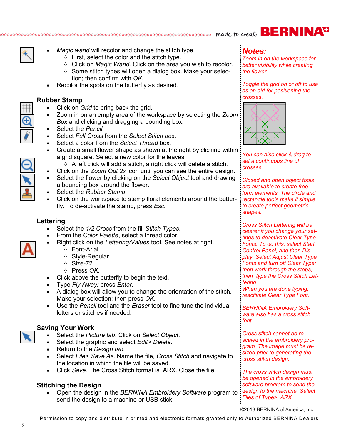# cocococococococococococococococococo made to create **BERNINA<sup>T</sup>**



- *Magic wand* will recolor and change the stitch type.
	- $\Diamond$  First, select the color and the stitch type.
	- Click on *Magic Wand*. Click on the area you wish to recolor.
	- $\Diamond$  Some stitch types will open a dialog box. Make your selection; then confirm with *OK*.
- Recolor the spots on the butterfly as desired.

#### **Rubber Stamp**

- Click on *Grid* to bring back the grid.
- Zoom in on an empty area of the workspace by selecting the *Zoom Box* and clicking and dragging a bounding box.
- Select the *Pencil.*
- Select *Full Cross* from the *Select Stitch box*.
- Select a color from the *Select Thread* box.
- Create a small flower shape as shown at the right by clicking within a grid square. Select a new color for the leaves.
	- $\Diamond$  A left click will add a stitch, a right click will delete a stitch.
	- Click on the *Zoom Out 2x* icon until you can see the entire design.
- Select the flower by clicking on the *Select Object* tool and drawing a bounding box around the flower.
- Select the *Rubber Stamp*.
- Click on the workspace to stamp floral elements around the butterfly. To de-activate the stamp, press *Esc.*

#### **Lettering**

- Select the *1/2 Cross* from the fill *Stitch Types*.
- From the *Color Palette*, select a thread color.
- Right click on the *Lettering/Values* tool. See notes at right.
	- Font-Arial
	- Style-Regular
	- Size-72
	- Press *OK.*
- Click above the butterfly to begin the text.
- Type *Fly Away;* press *Enter*.
- A dialog box will allow you to change the orientation of the stitch. Make your selection; then press *OK*.
- Use the *Pencil* tool and the *Eraser* tool to fine tune the individual letters or stitches if needed.

#### **Saving Your Work**

- Select the *Picture tab*. Click on *Select Object*.
- Select the graphic and select *Edit> Delete.*
- Return to the *Design tab.*
- Select *File> Save As*. Name the file, *Cross Stitch* and navigate to the location in which the file will be saved.
- Click *Save*. The Cross Stitch format is .ARX. Close the file.

#### **Stitching the Design**

 Open the design in the *BERNINA Embroidery Software* program to send the design to a machine or USB stick.

## *Notes:*

*Zoom in on the workspace for better visibility while creating the flower.*

*Toggle the grid on or off to use as an aid for positioning the crosses.*



*You can also click & drag to set a continuous line of crosses.* 

*Closed and open object tools are available to create free form elements. The circle and rectangle tools make it simple to create perfect geometric shapes.*

*Cross Stitch Lettering will be clearer if you change your settings to deactivate Clear Type Fonts. To do this, select Start, Control Panel, and then Display. Select Adjust Clear Type Fonts and turn off Clear Type; then work through the steps; then type the Cross Stitch Lettering.*

*When you are done typing, reactivate Clear Type Font.* 

*BERNINA Embroidery Software also has a cross stitch font.*

*Cross stitch cannot be rescaled in the embroidery program. The image must be resized prior to generating the cross stitch design.*

*The cross stitch design must be opened in the embroidery software program to send the design to the machine. Select Files of Type> .ARX.* 

©2013 BERNINA of America, Inc.

Permission to copy and distribute in printed and electronic formats granted only to Authorized BERNINA Dealers

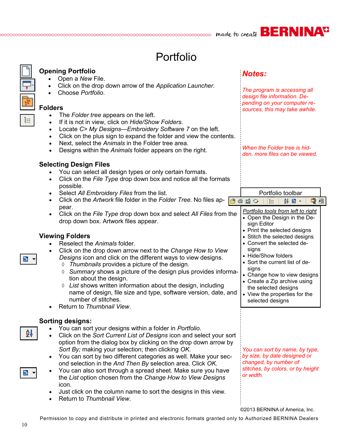# Portfolio

|    | <b>Opening Portfolio</b>                                                                                                                                                                                                                                                                                                                                                                                                                                                                                                                                                                                                                                                      | <b>Notes:</b>                                                                                                                                                                                                                                                                       |
|----|-------------------------------------------------------------------------------------------------------------------------------------------------------------------------------------------------------------------------------------------------------------------------------------------------------------------------------------------------------------------------------------------------------------------------------------------------------------------------------------------------------------------------------------------------------------------------------------------------------------------------------------------------------------------------------|-------------------------------------------------------------------------------------------------------------------------------------------------------------------------------------------------------------------------------------------------------------------------------------|
|    | Open a New File.<br>Click on the drop down arrow of the Application Launcher.<br>Choose Portfolio.                                                                                                                                                                                                                                                                                                                                                                                                                                                                                                                                                                            | The program is accessing all<br>design file information. De-                                                                                                                                                                                                                        |
|    | <b>Folders</b>                                                                                                                                                                                                                                                                                                                                                                                                                                                                                                                                                                                                                                                                | pending on your computer re-<br>sources, this may take awhile.                                                                                                                                                                                                                      |
| T. | The Folder tree appears on the left.<br>$\bullet$<br>If it is not in view, click on Hide/Show Folders.<br>$\bullet$<br>Locate C> My Designs-Embroidery Software 7 on the left.<br>$\bullet$<br>Click on the plus sign to expand the folder and view the contents.<br>$\bullet$<br>Next, select the Animals in the Folder tree area.<br>$\bullet$<br>Designs within the Animals folder appears on the right.<br>$\bullet$<br><b>Selecting Design Files</b><br>You can select all design types or only certain formats.                                                                                                                                                         | When the Folder tree is hid-<br>den, more files can be viewed.                                                                                                                                                                                                                      |
|    | Click on the File Type drop down box and notice all the formats<br>$\bullet$<br>possible.                                                                                                                                                                                                                                                                                                                                                                                                                                                                                                                                                                                     |                                                                                                                                                                                                                                                                                     |
|    | Select All Embroidery Files from the list.<br>$\bullet$<br>Click on the Artwork file folder in the Folder Tree. No files ap-<br>$\bullet$                                                                                                                                                                                                                                                                                                                                                                                                                                                                                                                                     | Portfolio toolbar<br>Q H<br>8820<br>A ■ -<br>in.                                                                                                                                                                                                                                    |
|    | pear.<br>Click on the File Type drop down box and select All Files from the<br>$\bullet$<br>drop down box. Artwork files appear.                                                                                                                                                                                                                                                                                                                                                                                                                                                                                                                                              | Portfolio tools from left to right<br>• Open the Design in the De-<br>sign Editor<br>• Print the selected designs                                                                                                                                                                   |
|    | <b>Viewing Folders</b><br>Reselect the Animals folder.<br>Click on the drop down arrow next to the Change How to View<br>$\bullet$<br>Designs icon and click on the different ways to view designs.<br>Thumbnails provides a picture of the design.<br>♦<br>Summary shows a picture of the design plus provides informa-<br>♦<br>tion about the design.<br>List shows written information about the design, including<br>♦<br>name of design, file size and type, software version, date, and<br>number of stitches.<br>Return to Thumbnail View.                                                                                                                             | • Stitch the selected designs<br>• Convert the selected de-<br>signs<br>• Hide/Show folders<br>• Sort the current list of de-<br>signs<br>• Change how to view designs<br>• Create a Zip archive using<br>the selected designs<br>• View the properties for the<br>selected designs |
| 2ł | <b>Sorting designs:</b><br>You can sort your designs within a folder in <i>Portfolio</i> .<br>Click on the Sort Current List of Designs icon and select your sort<br>$\bullet$<br>option from the dialog box by clicking on the drop down arrow by<br>Sort By; making your selection; then clicking OK.<br>You can sort by two different categories as well. Make your sec-<br>$\bullet$<br>ond selection in the And Then By selection area. Click OK.<br>You can also sort through a spread sheet. Make sure you have<br>$\bullet$<br>the List option chosen from the Change How to View Designs<br>icon.<br>Just click on the column name to sort the designs in this view. | You can sort by name, by type,<br>by size, by date designed or<br>changed, by number of<br>stitches, by colors, or by height<br>or width.                                                                                                                                           |
|    | Return to Thumbnail View.                                                                                                                                                                                                                                                                                                                                                                                                                                                                                                                                                                                                                                                     |                                                                                                                                                                                                                                                                                     |

©2013 BERNINA of America, Inc.

Permission to copy and distribute in printed and electronic formats granted only to Authorized BERNINA Dealers

 $\overline{p}$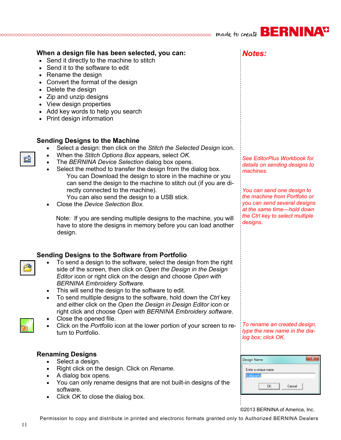|                |                                                                                                                                                                                                                                                                                                                                                                                                                                                                                                                                                                                                                                                                                                  | <b>AVG</b>                                                                                                                                                                                                                                                   |
|----------------|--------------------------------------------------------------------------------------------------------------------------------------------------------------------------------------------------------------------------------------------------------------------------------------------------------------------------------------------------------------------------------------------------------------------------------------------------------------------------------------------------------------------------------------------------------------------------------------------------------------------------------------------------------------------------------------------------|--------------------------------------------------------------------------------------------------------------------------------------------------------------------------------------------------------------------------------------------------------------|
| $\bullet$      | When a design file has been selected, you can:<br>• Send it directly to the machine to stitch<br>Send it to the software to edit<br>• Rename the design<br>• Convert the format of the design<br>Delete the design<br>• Zip and unzip designs<br>• View design properties<br>• Add key words to help you search<br>• Print design information                                                                                                                                                                                                                                                                                                                                                    | Notes:                                                                                                                                                                                                                                                       |
| d              | <b>Sending Designs to the Machine</b><br>Select a design: then click on the Stitch the Selected Design icon.<br>When the Stitch Options Box appears, select OK.<br>The BERNINA Device Selection dialog box opens.<br>Select the method to transfer the design from the dialog box.<br>You can Download the design to store in the machine or you<br>can send the design to the machine to stitch out (if you are di-<br>rectly connected to the machine).<br>You can also send the design to a USB stick.<br>Close the Device Selection Box.<br>Note: If you are sending multiple designs to the machine, you will<br>have to store the designs in memory before you can load another<br>design. | <b>See EditorPlus Workbook for</b><br>details on sending designs to<br>machines.<br>You can send one design to<br>the machine from Portfolio or<br>you can send several designs<br>at the same time—hold down<br>the Ctrl key to select multiple<br>designs. |
| ఆ<br>$\bullet$ | <b>Sending Designs to the Software from Portfolio</b><br>To send a design to the software, select the design from the right<br>side of the screen, then click on Open the Design in the Design<br>Editor icon or right click on the design and choose Open with<br><b>BERNINA Embroidery Software.</b><br>This will send the design to the software to edit.<br>To send multiple designs to the software, hold down the Ctrl key<br>and either click on the Open the Design in Design Editor icon or<br>right click and choose Open with BERNINA Embroidery software.<br>Close the opened file.<br>Click on the Portfolio icon at the lower portion of your screen to re-<br>turn to Portfolio.  | To rename an created design,<br>type the new name in the dia-<br>log box; click OK.                                                                                                                                                                          |
| $\bullet$      | <b>Renaming Designs</b><br>Select a design.<br>Right click on the design. Click on Rename.<br>A dialog box opens.<br>You can only rename designs that are not built-in designs of the<br>software.<br>Click OK to close the dialog box.                                                                                                                                                                                                                                                                                                                                                                                                                                                          | -23<br><b>Design Name</b><br>Enter a unique name<br>alligraph<br>OK.<br>Cancel                                                                                                                                                                               |

┆<br>©2013 BERNINA of America, Inc.

Permission to copy and distribute in printed and electronic formats granted only to Authorized BERNINA Dealers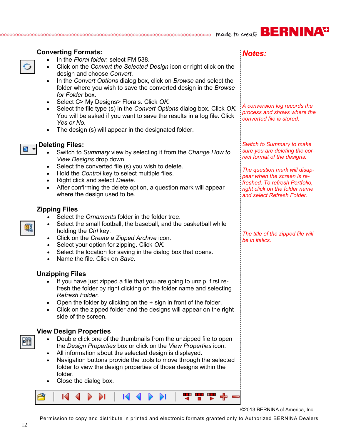| <b>Converting Formats:</b><br>In the Floral folder, select FM 538.<br>Click on the Convert the Selected Design icon or right click on the<br>$\bullet$<br>design and choose Convert.<br>In the Convert Options dialog box, click on Browse and select the<br>$\bullet$<br>folder where you wish to save the converted design in the Browse<br>for Folder box.<br>Select C> My Designs> Florals. Click OK.<br>$\bullet$<br>Select the file type (s) in the Convert Options dialog box. Click OK.<br>$\bullet$<br>You will be asked if you want to save the results in a log file. Click<br>Yes or No.<br>The design (s) will appear in the designated folder.<br>$\bullet$ | <b>Notes:</b><br>A conversion log records the<br>process and shows where the<br>converted file is stored.                                                                                                                                                           |
|---------------------------------------------------------------------------------------------------------------------------------------------------------------------------------------------------------------------------------------------------------------------------------------------------------------------------------------------------------------------------------------------------------------------------------------------------------------------------------------------------------------------------------------------------------------------------------------------------------------------------------------------------------------------------|---------------------------------------------------------------------------------------------------------------------------------------------------------------------------------------------------------------------------------------------------------------------|
| <b>Deleting Files:</b><br>Switch to Summary view by selecting it from the Change How to<br>View Designs drop down.<br>Select the converted file (s) you wish to delete.<br>$\bullet$<br>Hold the Control key to select multiple files.<br>$\bullet$<br>Right click and select Delete.<br>$\bullet$<br>After confirming the delete option, a question mark will appear<br>$\bullet$<br>where the design used to be.                                                                                                                                                                                                                                                        | <b>Switch to Summary to make</b><br>sure you are deleting the cor-<br>rect format of the designs.<br>The question mark will disap-<br>pear when the screen is re-<br>freshed. To refresh Portfolio,<br>right click on the folder name<br>and select Refresh Folder. |
| <b>Zipping Files</b><br>Select the Ornaments folder in the folder tree.<br>Select the small football, the baseball, and the basketball while<br>$\bullet$<br>holding the Ctrl key.<br>Click on the Create a Zipped Archive icon.<br>$\bullet$<br>Select your option for zipping. Click OK.<br>$\bullet$<br>Select the location for saving in the dialog box that opens.<br>$\bullet$<br>Name the file. Click on Save.<br>$\bullet$                                                                                                                                                                                                                                        | The title of the zipped file will<br>be in italics.                                                                                                                                                                                                                 |
| <b>Unzipping Files</b><br>If you have just zipped a file that you are going to unzip, first re-<br>fresh the folder by right clicking on the folder name and selecting<br>Refresh Folder.<br>Open the folder by clicking on the $+$ sign in front of the folder.<br>٠<br>Click on the zipped folder and the designs will appear on the right<br>$\bullet$<br>side of the screen.                                                                                                                                                                                                                                                                                          |                                                                                                                                                                                                                                                                     |
| <b>View Design Properties</b><br>Double click one of the thumbnails from the unzipped file to open<br>$\bullet$<br>the Design Properties box or click on the View Properties icon.<br>All information about the selected design is displayed.<br>$\bullet$<br>Navigation buttons provide the tools to move through the selected<br>$\bullet$<br>folder to view the design properties of those designs within the<br>folder.<br>Close the dialog box.                                                                                                                                                                                                                      |                                                                                                                                                                                                                                                                     |

©2013 BERNINA of America, Inc.